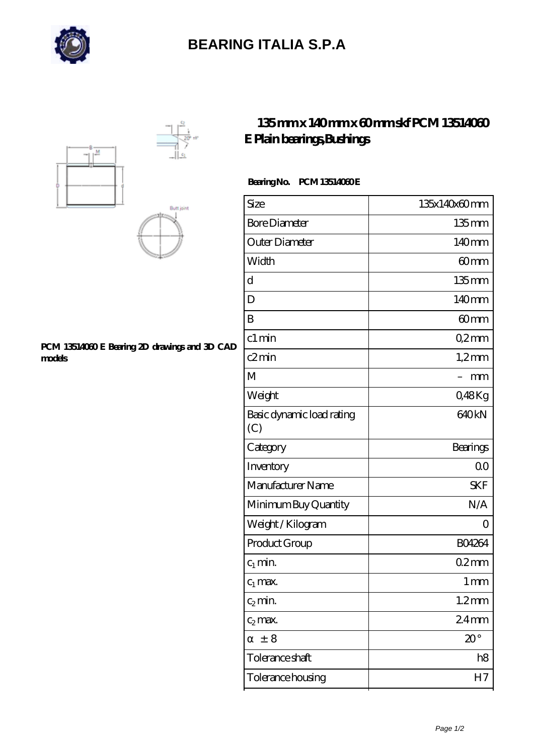

## **[BEARING ITALIA S.P.A](https://dianamascarenhas.com)**





#### **[PCM 13514060 E Bearing 2D drawings and 3D CAD](https://dianamascarenhas.com/pic-64968888.html) [models](https://dianamascarenhas.com/pic-64968888.html)**

### **[135 mm x 140 mm x 60 mm skf PCM 13514060](https://dianamascarenhas.com/au-64968888-skf-pcm-13514060-e-plain-bearings-bushings.html) [E Plain bearings,Bushings](https://dianamascarenhas.com/au-64968888-skf-pcm-13514060-e-plain-bearings-bushings.html)**

### **Bearing No. PCM 13514060 E**

| Size                             | 135x140x60mm      |
|----------------------------------|-------------------|
| <b>Bore Diameter</b>             | $135$ mm          |
| Outer Diameter                   | 140mm             |
| Width                            | 60mm              |
| d                                | $135$ mm          |
| D                                | 140mm             |
| B                                | 60mm              |
| c1 min                           | Q2mm              |
| c2min                            | $1,2$ mm          |
| M                                | mm                |
| Weight                           | Q48Kg             |
| Basic dynamic load rating<br>(C) | 640 <sub>kN</sub> |
| Category                         | Bearings          |
| Inventory                        | 0 <sup>0</sup>    |
| Manufacturer Name                | <b>SKF</b>        |
| Minimum Buy Quantity             | N/A               |
| Weight / Kilogram                | Ω                 |
| Product Group                    | BO4264            |
| $c_1$ min.                       | 02mm              |
| $c_1$ max.                       | 1 <sub>mm</sub>   |
| $c_2$ min.                       | $1.2$ mm          |
| $c_2$ max.                       | 24 <sub>mm</sub>  |
| ± 8                              | $20^{\circ}$      |
| Tolerance shaft                  | h8                |
| Tolerance housing                | H7                |